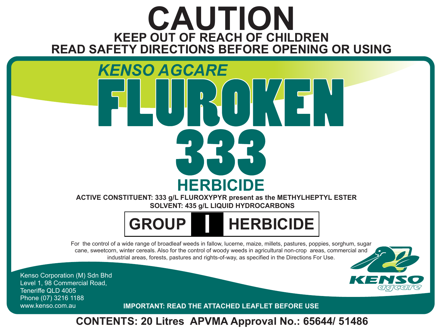# **KEEP OUT OF REACH OF CHILDREN CAUTION READ SAFETY DIRECTIONS BEFORE OPENING OR USING**

# FRUR HER 333 **HERBICIDE** *KENSO AGCARE*

**ACTIVE CONSTITUENT: 333 g/L FLUROXYPYR present as the METHYLHEPTYL ESTER SOLVENT: 435 g/L LIQUID HYDROCARBONS** 

**GROUP I HERBICIDE**

For the control of a wide range of broadleaf weeds in fallow, lucerne, maize, millets, pastures, poppies, sorghum, sugar cane, sweetcorn, winter cereals. Also for the control of woody weeds in agricultural non-crop areas, commercial and industrial areas, forests, pastures and rights-of-way, as specified in the Directions For Use.

Kenso Corporation (M) Sdn Bhd Level 1, 98 Commercial Road, Teneriffe QLD 4005 Phone (07) 3216 1188

www.kenso.com.au **IMPORTANT: READ THE ATTACHED LEAFLET BEFORE USE**

**CONTENTS: 20 Litres APVMA Approval No.: 65644/ 51486**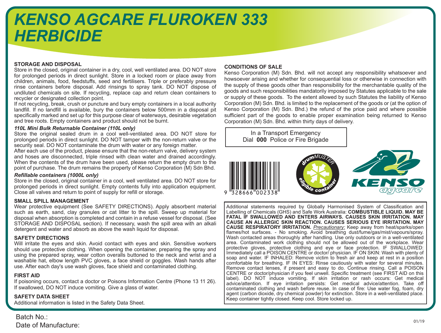## *KENSO AGCARE FLUROKEN 333 HERBICIDE*

### **STORAGE AND DISPOSAL**

Store in the closed, original container in a dry, cool, well ventilated area. DO NOT store for prolonged periods in direct sunlight. Store in a locked room or place away from children, animals, food, feedstuffs, seed and fertilisers. Triple or preferably pressure rinse containers before disposal. Add rinsings to spray tank. DO NOT dispose of undiluted chemicals on site. If recycling, replace cap and return clean containers to recycler or designated collection point.

If not recycling, break, crush or puncture and bury empty containers in a local authority landfill. If no landfill is available, bury the containers below 500mm in a disposal pit specifically marked and set up for this purpose clear of waterways, desirable vegetation and tree roots. Empty containers and product should not be burnt.

### *110L Mini Bulk Returnable Container (110L only)*

Store the original sealed drum in a cool well-ventilated area. DO NOT store for prolonged periods in direct sunlight. DO NOT tamper with the non-return valve or the security seal. DO NOT contaminate the drum with water or any foreign matter.

After each use of the product, please ensure that the non-return valve, delivery system and hoses are disconnected, triple rinsed with clean water and drained accordingly. When the contents of the drum have been used, please return the empty drum to the point of purchase. The drum remains the property of Kenso Corporation (M) Sdn Bhd.

### *Refillable containers (1000L only)*

Store in the closed, original container in a cool, well ventilated area. DO NOT store for prolonged periods in direct sunlight. Empty contents fully into application equipment. Close all valves and return to point of supply for refill or storage.

### **SMALL SPILL MANAGEMENT**

Wear protective equipment (See SAFETY DIRECTIONS). Apply absorbent material such as earth, sand, clay granules or cat litter to the spill. Sweep up material for disposal when absorption is completed and contain in a refuse vessel for disposal. (See STORAGE AND DISPOSAL section). If necessary, wash the spill area with an alkali detergent and water and absorb as above the wash liquid for disposal.

### **SAFETY DIRECTIONS**

Will irritate the eyes and skin. Avoid contact with eyes and skin. Sensitive workers should use protective clothing. When opening the container, preparing the spray and using the prepared spray, wear cotton overalls buttoned to the neck and wrist and a washable hat, elbow length PVC gloves, a face shield or goggles. Wash hands after use. After each day's use wash gloves, face shield and contaminated clothing.

### **FIRST AID**

If poisoning occurs, contact a doctor or Poisons Information Centre (Phone 13 11 26). If swallowed, DO NOT induce vomiting. Give a glass of water.

### **SAFETY DATA SHEET**

Additional information is listed in the Safety Data Sheet.

### **CONDITIONS OF SALE**

Kenso Corporation (M) Sdn. Bhd. will not accept any responsibility whatsoever and howsoever arising and whether for consequential loss or otherwise in connection with the supply of these goods other than responsibility for the merchantable quality of the goods and such responsibilities mandatorily imposed by Statutes applicable to the sale or supply of these goods. To the extent allowed by such Statutes the liability of Kenso Corporation (M) Sdn. Bhd. is limited to the replacement of the goods or (at the option of Kenso Corporation (M) Sdn. Bhd.) the refund of the price paid and where possible sufficient part of the goods to enable proper examination being returned to Kenso Corporation (M) Sdn. Bhd. within thirty days of delivery.



Additional statements required by Globally Harmonised System of Classification and Labelling of Chemicals (GHS) and Safe Work Australia: **COMBUSTIBLE LIQUID. MAY BE FATAL IF SWALLOWED AND ENTERS AIRWAYS. CAUSES SKIN IRRITATION. MAY CAUSE AN ALLERGIC SKIN REACTION. CAUSES SERIOUS EYE IRRITATION. MAY CAUSE RESPIRATORY IRRITATION.** *Precautionary:* Keep away from heat/sparks/open flames/hot surfaces. - No smoking. Avoid breathing dust/fume/gas/mist/vapours/spray. Wash contacted areas thoroughly after handling. Use only outdoors or in a well-ventilated area. Contaminated work clothing should not be allowed out of the workplace. Wear protective gloves, protective clothing and eye or face protection. IF SWALLOWED: Immediately call a POISON CENTRE or doctor/ physician. IF ON SKIN: Wash with plenty of soap and water. IF INHALED: Remove victim to fresh air and keep at rest in a position comfortable for breathing. IF IN EYES: Rinse cautiously with water for several minutes. Remove contact lenses, if present and easy to do. Continue rinsing. Call a POISON CENTRE or doctor/physician if you feel unwell. Specific treatment (see FIRST AID on this label). DO NOT induce vomiting. If skin irritation or rash occurs: Get medical advice/attention. If eye irritation persists: Get medical advice/attention. Take off contaminated clothing and wash before reuse. In case of fire: Use water fog, foam, dry agent (carbon dioxide, dry chemical powder) for extinction. Store in a well-ventilated place. Keep container tightly closed. Keep cool. Store locked up.

01/19 Batch No.:<br>صحابته المستخدم المستخدم المستخدم المستخدم المستخدم المستخدم المستخدم المستخدم المستخدم المستخدم المستخدم المستخدمة Date of Manufacture: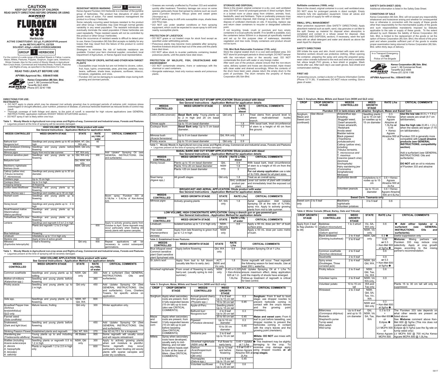and *Pinus* spp. DO NOT use under weather conditions or from spraying • equipment, which could be expected to cause spray to drift onto nearby susceptible plants.

**PROTECTION OF WILDLIFE, FISH, CRUSTACEANS AND ENVIRONMENT** • DO NOT contaminate streams, rivers or waterways with the

### **PROTECTION OF LIVESTOCK**

- DO NOT graze or cut treated crops for stock food except as specified under withholding periods. Poisonous plants may become more palatable after spraying; •
- therefore livestock should be kept out of the area until the plants have died down. • DO NOT allow stock to re-enter paddocks containing treated

poisonous plants, until the plants have died down.

chemical or used containers. Alongside waterways, treat only noxious weeds and poisonous • plants.

### **SAFETY DATA SHEET (SDS)**

Additional information is listed in the Safety Data Sheet.

### **CONDITIONS OF SALE**

Kenso Corporation (M) Sdn. Bhd. will not accept any responsibility whatsoever and howsoever arising and whether for consequential loss or otherwise in connection with the supply of these goods other than responsibility for the merchantable quality of the goods and such responsibilities mandatorily imposed by Statutes applicable to the sale or supply of these goods. To the extent allowed by such Statutes the liability of Kenso Corporation (M) Sdn. Bhd. is limited to the replacement of the goods or (at the option of Kenso Corporation (M) Sdn. Bhd.) the refund of the price paid and where possible sufficient part of the goods to enable proper examination being returned to Kenso Corporation (M) Sdn. Bhd. within thirty days of delivery.

**RESISTANT WEEDS WARNING** 

Kenso Agcare Fluroken 333 Herbicide is a member of the pyridine group of herbicides. The product has disruptors of plant cell growth mode of action. For weed resistance management the

product is a Group I Herbicide.

Some naturally occurring weed biotypes resistant to the product and other Group I herbicides may exist through normal genetic variability in any weed population. The resistant individuals can eventually dominate the weed population if these herbicides are used repeatedly. These resistant weeds will not be controlled by

this product or other Group I herbicides.

Since the occurrence of resistant weeds is difficult to detect prior to use, Kenso Corporation (M) Sdn Bhd accepts no liability for any losses that may result from the failure of this product to control

resistant weeds.

Strategies to minimise the risk of herbicide resistance are available. Contact your farm chemical supplier, consultant, local Department of Agriculture, or Kenso Agcare local representative. **PROTECTION OF CROPS, NATIVE AND OTHER NON-TARGET** 

**PLANTS**

Susceptible crops include but are not limited to clovers, cotton, • fruit, hops, lupins, ornamentals, peas, pine tree, potatoes, navy beans, safflower, shade trees, soybeans, sunflower, tobacco,

tomatoes, vegetables, and vines.

growing and dormant periods.

In a Transport Emergency Dial **000** Police of Fire Brigade



**Kenso Corporation (M) Sdn. Bhd.** Level 1, 98 Commercial Road, Teneriffe QLD 4005 Phone (07) 3216 1188

**APVMA Approval No.: 65644/51486**

**CAUTION KEEP OUT OF REACH OF CHILDREN READ SAFETY DIRECTIONS BEFORE OPENING OR USING**

**ACTIVE CONSTITUENT: 333 g/L FLUROXYPYR present as the METHYLHEPTYL ESTER SOLVENT: 435g/L LIQUID HYDROCARBONS**

For the control of a wide range of Broadleaf Weeds in Fallow, Lucerne, Maize, Millets, Pastures, Poppies, Sorghum, Sugar cane, Sweetcorn, Winter Cereals. Also for the control of Woody Weeds in Agricultural Non-Crops Areas, Commercial and Industrial Areas, Forests, Pastures

and Rights-of-way, as specified in the Directions For Use. **READ THIS LEAFLET BEFORE USE**



**Kenso Corporation (M) Sdn. Bhd.** Level 1, 98 Commercial Road, Phone (07) 3216 1188

Teneriffe QLD 4005

**GROUP I HERBICIDE**

**APVMA Approval No.: 65644/51486**



**DIRECTIONS FOR USE: RESTRAINTS:** 

 **•** DO NOT apply to plants which may be stressed (not actively growing) due to prolonged periods of extreme cold, moisture stress (waterlogged or drought affected), poor nutrition, presence of disease, or previous herbicide treatment as reduced levels of control may result.

**•** Thorough coverage of both foliage and stems, to the point of runoff, is essential for high volume applications (see GENERAL INSTRUCTIONS; application methods WOODY WEED SITUATIONS section).  **•** DO NOT spray if rain is likely within one hour.

**Table 1. Woody Weeds in Agricultural non-crop areas and Rights-of-way, Commercial and Industrial areas, Forests and Pastures •** Legumes present at the time of spraying will be severely damaged. **HIGH VOLUME APPLICATION: Dilute product with water**

**Table 1. Woody Weeds in Agricultural non-crop areas and Rights-of-way, Commercial and Industrial areas, Forests and Pastures •** Legumes present at the time of spraying will be severely damaged.

| See General Instructions - Application Method for application details |                                                            |                      |                                    |                                                                                                                   |  |  |  |  |
|-----------------------------------------------------------------------|------------------------------------------------------------|----------------------|------------------------------------|-------------------------------------------------------------------------------------------------------------------|--|--|--|--|
| <b>WEEDS CONTROLLED</b>                                               | <b>WEED GROWTH STAGE</b>                                   | <b>STATE</b>         | <b>RATE</b><br>mL/100L of<br>water | <b>CRITICAL COMMENTS</b>                                                                                          |  |  |  |  |
| <b>Bathurst burr</b>                                                  | Seedlings and young plants up to 40 cm NSW, NT, Qld,       |                      | 45                                 |                                                                                                                   |  |  |  |  |
| Noogoora burr                                                         | high                                                       | WA only              |                                    |                                                                                                                   |  |  |  |  |
| Black bindweed (Climbing                                              | Seedlings and young plants before NSW, Qld only            |                      | 180                                |                                                                                                                   |  |  |  |  |
| buckwheat)                                                            | flowering                                                  |                      |                                    |                                                                                                                   |  |  |  |  |
| Mimosa pigra                                                          | Apply from mid to late summer.                             | NT, WA only          |                                    | Add Uptake* Spraying Oil<br>(see                                                                                  |  |  |  |  |
| Common sensitive plant                                                | Seedlings and young plants up to Qld, WA only<br>flowering |                      | 300                                | GENERAL INSTRUCTIONS;<br>Oils<br>and surfactants)                                                                 |  |  |  |  |
| Bellyache bush                                                        |                                                            | Qld, NSW, WA<br>only |                                    |                                                                                                                   |  |  |  |  |
| Blackberry nightshade                                                 |                                                            | NSW, Qld only        |                                    |                                                                                                                   |  |  |  |  |
| Bokhara clover                                                        |                                                            |                      |                                    |                                                                                                                   |  |  |  |  |
| Caltrop (yellow vine)<br>(Tribulus terrestris)<br>(T. micrococcus)    | Seedlings and young plants up to 30 cm<br>diameter.        |                      |                                    |                                                                                                                   |  |  |  |  |
| Cobblers pegs                                                         | Up to 15 cm high                                           |                      |                                    |                                                                                                                   |  |  |  |  |
| Cockspur thorn                                                        | Up to 3 m high                                             |                      |                                    |                                                                                                                   |  |  |  |  |
| Creeping lantana                                                      | At flowering                                               |                      |                                    |                                                                                                                   |  |  |  |  |
| Crofton weed Mistflower                                               | Seedlings and young plants up to<br>flowering.             |                      |                                    |                                                                                                                   |  |  |  |  |
| Docks (Rumex spp.)                                                    | Seedlings and rosettes up to 30 cm high.                   |                      |                                    |                                                                                                                   |  |  |  |  |
| Hexham scent                                                          | Seedlings and young plants up to<br>flowering              |                      |                                    | spray; Fluroken 333 at<br>Boom<br>0.18L/ha + 0.4L/ha of Ken-Amine<br>625.                                         |  |  |  |  |
| Honey locust                                                          | Seedlings and young plants up to 2 m<br>high               |                      |                                    |                                                                                                                   |  |  |  |  |
| Small flowered mallow                                                 | Seedlings and young plants up to                           |                      |                                    |                                                                                                                   |  |  |  |  |
| (Marshmallow)                                                         | flowering                                                  |                      |                                    |                                                                                                                   |  |  |  |  |
| (Malva parviflora)                                                    |                                                            |                      |                                    |                                                                                                                   |  |  |  |  |
| Yellowflower Devil's claw                                             | Seedlings and young plants up to<br>flowering              |                      |                                    |                                                                                                                   |  |  |  |  |
| Lantana                                                               | Seedlings and regrowth 0.5 to 1.2 m high                   |                      |                                    | Apply to actively growing plants from                                                                             |  |  |  |  |
|                                                                       | Plants and regrowth 1.2 to 2 m high                        |                      | 600                                | October to April. Some regrowth may<br>occur particularly when treating old<br>woody plants with sparse canopies. |  |  |  |  |
| Blue heliotrope                                                       | Flowering                                                  |                      |                                    |                                                                                                                   |  |  |  |  |
| Limebush                                                              | Infestations up to 1.5 m high only                         |                      |                                    |                                                                                                                   |  |  |  |  |
| Madeira vine                                                          | Apply at time of active growth                             |                      | 300                                |                                                                                                                   |  |  |  |  |
| Milkweed                                                              | 3 leaf to flowering                                        | Qld only             | 600                                | will<br>Repeat<br>applications<br>be                                                                              |  |  |  |  |
| (Euphorbia heterophylla)                                              |                                                            |                      |                                    | necessary to control subsequent<br>germinations.                                                                  |  |  |  |  |

**HIGH VOLUME APPLICATION: Dilute product with water See General Instructions - Application Method for application details WEEDS CONTROLLED WEED GROWTH STAGE mL/100L of water CRITICAL COMMENTS** Common sowthistle Seedlings and young plants up to bolting NSW, Qld only 300 Add a surfactant (See GENERAL INSTRUCTIONS; Oils and Mother-of-millions Seedling and young plants before | 360 |surfactants). *(Kalanchoe* spp.) owering 360 Seedling and young plants up to 2 m high. Qld only | 450 | Add Uptake Spraying Oil (See GENERAL INSTRUCTIONS; Oils and surfactants). Cons, Charters Towers, for specific advice on application. *Sida* spp. **Sida** spp. **Sida** spp. **Sida** spp. **Sida** spands up to flowering.<br>Mature leaves, fruiting NSW, NT Qld, WA 600 Broadleaf Pepper tree *(Schinus terebinthifolius)* QLD only Qld only | 300 | Winter application only. Flannel weed *(Sida cordifolia)* Snakeweed, (Dark and light blue) Seedling and young plants before lowering 450 | Add Uptake Spraying Oil (See GENERAL INSTRUCTIONS; Oils and surfactants). Stinking Passion Flower Established plants and regrowth | Qld, NT, WA | 270 | Use 42 mL/15 L for a knapsack. Wandering jew *(Tradescantia albiflora)* Young plants up to and including owering 900 Some regrowth will usually occur and will require retreatment Wattles (including *Acacia aulacocarpa A. decora A. harpophylla A. leiocalyx A. salicina)* Seedling plants or regrowth 0.5 to 1.2 m high NSW, Qld only 300 Apply to actively growing plants when soil moisture is plentiful. Some regrowth may occur particularly when treating old woody plants with sparse canopies and under dry conditions. Plants or regrowth 1.2 to 2.0 m high only 600

Grasses are normally unaffected by Fluroken 333 and establish • quickly after treatment. Transitory damage can occur on some species particularly those that spread by stolons such as couch grass (*Cynodon dactylon*), Kikuyu grass and carpet grass (*Axonopus* sp.). DO NOT allow spray to drift onto susceptible crops, shade trees •

> **110L Mini Bulk Returnable Container (110L only)** Store the original sealed drum in a cool well-ventilated area. DO NOT store for prolonged periods in direct sunlight. DO NOT tamper with the non-return valve or the security seal. DO NOT contaminate the drum with water or any foreign matter. After each use of the product, please ensure that the non-return valve, delivery system and hoses are disconnected, triple rinsed with clean water and drained accordingly. When the contents of the drum have been used, please return the empty drum to the point of purchase. The drum remains the property of Kenso Corporation (M) Sdn Bhd.

Wear protective equipment (See SAFETY DIRECTIONS). Apply absorbent material such as earth, sand, clay granules or cat litter to the spill. Sweep up material for disposal when absorption is completed and contain in a refuse vessel for disposal. (See STORAGE AND DISPOSAL section). If necessary, wash the spill area with an alkali detergent and water and absorb as above the wash liquid for disposal.

Will irritate the eyes and skin. Avoid contact with eyes and skin. Sensitive workers should use protective clothing. When opening the container, preparing the spray and using the prepared spray, wear cotton overalls buttoned to the neck and wrist and a washable hat, elbow length PVC gloves, a face shield or goggles. Wash hands after use. After each day's use wash gloves, face shield and contaminated clothing.

Fluroken 333 can be damaging to susceptible crops during both •

| BASAL BARK AND CUT STUMP APPLICATION: Dilute product with diesel |                                                                                    |                                                                                                                                                                                           |                                                                                                                                           |                                                                                                                                                              |                                                    |                       | Table 3: Sorghum, Maize, Millets and Sweet Corn (NSW and QLD only)                                                                                                   |                                |                                                                                                                                                    |                                                                            |                                                               |                                                                                                                                               |                                              |                                                  |                                                                                                                             |
|------------------------------------------------------------------|------------------------------------------------------------------------------------|-------------------------------------------------------------------------------------------------------------------------------------------------------------------------------------------|-------------------------------------------------------------------------------------------------------------------------------------------|--------------------------------------------------------------------------------------------------------------------------------------------------------------|----------------------------------------------------|-----------------------|----------------------------------------------------------------------------------------------------------------------------------------------------------------------|--------------------------------|----------------------------------------------------------------------------------------------------------------------------------------------------|----------------------------------------------------------------------------|---------------------------------------------------------------|-----------------------------------------------------------------------------------------------------------------------------------------------|----------------------------------------------|--------------------------------------------------|-----------------------------------------------------------------------------------------------------------------------------|
|                                                                  | <b>WEEDS</b><br><b>CONTROLLED</b>                                                  |                                                                                                                                                                                           | See General Instructions - Application Method for application details<br><b>WEED GROWTH STAGE</b>                                         |                                                                                                                                                              | <b>STATE</b>                                       | <b>RATE</b><br>L/100L | <b>CRITICAL COMMENTS</b>                                                                                                                                             | <b>CROP</b>                    |                                                                                                                                                    | <b>CROP GROWTH</b><br><b>STAGE</b>                                         |                                                               | <b>WEEDS</b><br><b>CONTROLLED</b>                                                                                                             | <b>WEED</b><br><b>GROWTH</b><br><b>STAGE</b> | <b>RATE L/ha</b>                                 | <b>CRITICAL COMMENTS</b>                                                                                                    |
| Chinee apple<br>Cockspur thorn                                   | Celtis (Celtis sinensis)                                                           | diesel<br>Basal Bark only: Young plants up<br>Qld only<br>2.1<br>to 2 m high and 20 cm basal<br>diameter<br>Up to 15 cm basal diameter<br>1.8<br>Basal Bark only: Up to 5 cm basal<br>1.2 |                                                                                                                                           | Treat stems from ground level to<br>multi-stemmed<br>where<br>trunks<br>branch.<br>With basal bark, treat circumference<br>of stem to a height of 45 cm from | Sorghum,<br>Maize and<br>Sweet corn<br>(continued) |                       | See Above                                                                                                                                                            | including:                     | Fluroken 333 in tank-mixes with atrazine: Sorghum, Maize and Sweet Corn<br>Amaranthus spp.<br>Boggabri weed,<br>Dwarf amaranth,<br>Green amaranth, | Seedling plants<br>up to 15 cm tall<br>or rosettes up to<br>15 cm diameter | 0.3<br>+ Kenso<br>Agcare<br>Atrazine at<br>1.5L/ha or<br>0.45 | Use the low rate $(0.3 L + 1.5 L)$<br>when weeds are small (5-7 cm<br>tall/diameter).<br>Use the high rate $(0.45 \mathsf{L} + 2 \mathsf{L})$ |                                              |                                                  |                                                                                                                             |
| Mimosa bush                                                      | diameter.<br>Qld, WA only<br>$\overline{1.8}$<br>Up to 5 cm basal diameter         |                                                                                                                                                                                           |                                                                                                                                           | the ground.                                                                                                                                                  |                                                    |                       |                                                                                                                                                                      | Redshank<br>Anoda weed         | Bladder ketmia                                                                                                                                     |                                                                            | + Kenso<br>Agcare                                             | when the weeds are larger (7-15<br>cm tall/diameter).                                                                                         |                                              |                                                  |                                                                                                                             |
| (Acacia farnesiana)<br>Prickly acacia                            |                                                                                    |                                                                                                                                                                                           | Up to 10 cm basal diameter                                                                                                                |                                                                                                                                                              | Qld only                                           | 0.9                   |                                                                                                                                                                      |                                |                                                                                                                                                    |                                                                            | (Trianthema                                                   | <b>Black pigweed</b><br>portulacastrum)                                                                                                       |                                              | 2L/ha                                            | Atrazine 500 at Fluroken 333 is generally more<br>compatible with Liquid atrazine<br>products (see GENERAL                  |
|                                                                  |                                                                                    |                                                                                                                                                                                           |                                                                                                                                           |                                                                                                                                                              |                                                    |                       | Table 1. Woody Weeds in Agricultural non-crop areas and Rights-of-way, Commercial and Industrial areas, Forests and Pastures                                         |                                |                                                                                                                                                    |                                                                            |                                                               | Caltrop (yellow vine),                                                                                                                        |                                              |                                                  | <b>INSTRUCTIONS; compatibility</b>                                                                                          |
|                                                                  |                                                                                    |                                                                                                                                                                                           | • Legumes present at the time of spraying will be severely damaged.                                                                       |                                                                                                                                                              |                                                    |                       |                                                                                                                                                                      |                                |                                                                                                                                                    |                                                                            | including:                                                    | Tribulus terrestris,                                                                                                                          |                                              |                                                  | section)                                                                                                                    |
|                                                                  |                                                                                    |                                                                                                                                                                                           | BASAL BARK AND CUT STUMP APPLICATION: Dilute product with diesel<br>See General Instructions - Application Method for application details |                                                                                                                                                              |                                                    |                       |                                                                                                                                                                      |                                |                                                                                                                                                    |                                                                            |                                                               | T. micrococcus and                                                                                                                            |                                              |                                                  | Add a surfactant (see GENERAL                                                                                               |
| <b>WEEDS</b>                                                     |                                                                                    |                                                                                                                                                                                           | <b>WEED GROWTH STAGE</b>                                                                                                                  |                                                                                                                                                              | <b>STATE   RATE L/100L</b>                         |                       | <b>CRITICAL COMMENTS</b>                                                                                                                                             |                                |                                                                                                                                                    |                                                                            | ⊺. <i>maximus</i>                                             | Cowvine (peach vine)                                                                                                                          |                                              |                                                  | <b>INSTRUCTIONS: Oils and</b><br>surfactants)                                                                               |
| <b>CONTROLLED</b><br>Honey locust                                |                                                                                    |                                                                                                                                                                                           | Plants up to 10 cm basal diameter                                                                                                         | $Qld$ ,                                                                                                                                                      | diesel<br>0.9                                      |                       | With basal bark, treat circumference                                                                                                                                 |                                |                                                                                                                                                    |                                                                            | (Ipomoea<br>lonchophylla)                                     |                                                                                                                                               |                                              |                                                  | <b>DO NOT</b> add an oil to mixtures                                                                                        |
|                                                                  |                                                                                    |                                                                                                                                                                                           | Plants 10 to 20 cm basal diameter                                                                                                         | <b>NSW</b>                                                                                                                                                   | $\overline{1.8}$                                   |                       | of stem to a height of 45 cm from the                                                                                                                                |                                |                                                                                                                                                    |                                                                            |                                                               | Hairy wandering jew                                                                                                                           |                                              |                                                  | of Fluroken 333 and atrazine                                                                                                |
|                                                                  |                                                                                    |                                                                                                                                                                                           | Plants >20 cm basal diameter                                                                                                              | only                                                                                                                                                         | $\mathbf{3}$                                       |                       | ground.<br>For cut stump application use a rate<br>of 3L/100L diesel for all plant sizes.                                                                            |                                |                                                                                                                                                    |                                                                            | (Commelina<br>benghalensis)<br>Mintweed                       |                                                                                                                                               |                                              |                                                  |                                                                                                                             |
| Sisal hemp                                                       |                                                                                    | All growth stages                                                                                                                                                                         |                                                                                                                                           | Qld only                                                                                                                                                     | 1.8                                                |                       | Treat as an overall spray.                                                                                                                                           |                                |                                                                                                                                                    |                                                                            |                                                               | Euphorbia davidii                                                                                                                             | Cotyledons to 4                              | $0.6 +$ Kenso                                    |                                                                                                                             |
| (Agave spp.)                                                     |                                                                                    |                                                                                                                                                                                           |                                                                                                                                           |                                                                                                                                                              | product per                                        |                       | 6mL undiluted Lever out centre of plant with crowbar<br>and immediately treat the exposed cut                                                                        |                                |                                                                                                                                                    |                                                                            |                                                               |                                                                                                                                               | nodes up to 15<br>cm                         | Agcare<br>Atrazine 500 at                        |                                                                                                                             |
|                                                                  |                                                                                    |                                                                                                                                                                                           | <b>BROADCAST AND AERIAL APPLICATION: Dilute product with water</b>                                                                        |                                                                                                                                                              | plant                                              |                       | area.                                                                                                                                                                |                                |                                                                                                                                                    |                                                                            |                                                               | Volunteer peanuts                                                                                                                             | Up to 15 cm                                  | 2L/ha<br>$0.6 +$ Kenso<br><b>Agcare Atrazine</b> |                                                                                                                             |
| <b>WEEDS</b><br><b>CONTROLLED</b>                                |                                                                                    |                                                                                                                                                                                           | See General Instructions - Application Method for application details<br><b>WEED GROWTH STAGE</b>                                         | <b>STATE</b>                                                                                                                                                 | <b>RATE L/ha</b>                                   |                       | <b>CRITICAL COMMENTS</b>                                                                                                                                             |                                |                                                                                                                                                    |                                                                            |                                                               |                                                                                                                                               | diameter<br>Sweet Corn: Tasmania only        | 500 at 4.5L/ha                                   |                                                                                                                             |
| Mimosa pigra                                                     |                                                                                    | Actively growing plants                                                                                                                                                                   |                                                                                                                                           | NT, WA<br>only                                                                                                                                               | 1.8                                                |                       | Aerial<br>application: Add<br>Uptake<br>Spraying Oil at the rate of 1L/100L<br>spray mix. Apply to actively growing                                                  | Sweet corn 3 to 5 leaf<br>only |                                                                                                                                                    |                                                                            | Blackberry<br>nightshade                                      | Volunteer potatoes                                                                                                                            | 3 to 5 leaf                                  | 0.6                                              |                                                                                                                             |
|                                                                  |                                                                                    |                                                                                                                                                                                           |                                                                                                                                           |                                                                                                                                                              |                                                    |                       | plants from mid to late summer.                                                                                                                                      |                                |                                                                                                                                                    | Table 4: Winter Cereals (Wheat, Barley, Oats and Triticale)                |                                                               |                                                                                                                                               |                                              |                                                  |                                                                                                                             |
|                                                                  |                                                                                    |                                                                                                                                                                                           | See General Instructions - Application Method for application details                                                                     |                                                                                                                                                              |                                                    |                       | LOW VOLUME, HIGH CONCENTRATE APPLICATION: Using a drench gun or gas-powered gun                                                                                      | <b>CROP GROWTH</b>             |                                                                                                                                                    | <b>WEEDS</b>                                                               |                                                               | <b>WEED</b>                                                                                                                                   | <b>STATE</b>                                 | <b>RATE L/ha</b>                                 | <b>CRITICAL COMMENTS</b>                                                                                                    |
| <b>WEEDS</b><br><b>CONTROLLED</b>                                |                                                                                    |                                                                                                                                                                                           | <b>WEED GROWTH STAGE</b>                                                                                                                  | <b>STATE</b>                                                                                                                                                 | RATE L/10L<br>of water                             |                       | <b>CRITICAL COMMENTS</b>                                                                                                                                             | <b>STAGE</b>                   |                                                                                                                                                    | <b>CONTROLLED</b>                                                          |                                                               | <b>GROWTH</b><br><b>STAGE</b>                                                                                                                 |                                              |                                                  |                                                                                                                             |
| _imebush                                                         |                                                                                    |                                                                                                                                                                                           | Isolated bushes up to 1.2 m high only                                                                                                     | NSW,<br>Qld only                                                                                                                                             | 0.6                                                |                       | Apply a 50 mL dose per $5m^2$ of bush<br>surface area.                                                                                                               | Apply from 3 leaf Bedstraw     |                                                                                                                                                    | to flag (Zadoks 13 (Galium tricornutum)                                    |                                                               | 1 to 3 whorl                                                                                                                                  | Vic, SA,<br>WA only                          | 0.6                                              | <b>0</b> Add either Uptake or a<br><b>GENERAL</b><br>surfactant (see                                                        |
| Tree violet<br>(Hymenanthera                                     |                                                                                    | up to 1.2 m high                                                                                                                                                                          | Apply from late flowering to green fruit                                                                                                  | <b>NSW</b><br>only                                                                                                                                           |                                                    |                       | Apply a 50 mL dose per cubic metre<br>of bush.                                                                                                                       | to 39)                         |                                                                                                                                                    | <b>Cleavers</b><br>(Galium aparine)                                        |                                                               |                                                                                                                                               | NSW, Vic<br>only                             |                                                  | <b>INSTRUCTIONS;</b><br>Oils<br>and<br>surfactants).                                                                        |
| dentata)                                                         |                                                                                    |                                                                                                                                                                                           |                                                                                                                                           |                                                                                                                                                              |                                                    |                       |                                                                                                                                                                      |                                |                                                                                                                                                    | <b>Black bindweed</b>                                                      |                                                               | 2 to 4 leaf                                                                                                                                   | NSW, Qld                                     | $0.3$ O                                          | Useful suppression only                                                                                                     |
|                                                                  | <b>Table 2: Established Grass Pastures</b><br><b>WEEDS</b><br><b>CONTROLLED</b>    |                                                                                                                                                                                           | <b>WEED GROWTH STAGE</b>                                                                                                                  | <b>STATE</b>                                                                                                                                                 | <b>RATE</b><br>L/ha                                |                       | <b>CRITICAL COMMENTS</b>                                                                                                                                             |                                |                                                                                                                                                    | (Climbing buckwheat)                                                       |                                                               | 2 to 6 leaf                                                                                                                                   | only                                         | 0.45<br>or $0.3$                                 | <b>Mixtures:</b> Mixing partners<br>with<br>Fluroken 333 may reduce crop<br>+ Ken-Met 600 selectivity. Apply at crop growth |
| Blue billygoat weed<br>Common sensitive<br>plant Giant sensitive |                                                                                    | Apply before flowering                                                                                                                                                                    |                                                                                                                                           | Qld, WA<br>only                                                                                                                                              | 0.9                                                |                       | Add Uptake Spraying Oil at 1 L/ha.                                                                                                                                   |                                |                                                                                                                                                    | Common sowthistle<br>(Sonchus oleraceus)                                   |                                                               | 2 to 5 leaf                                                                                                                                   |                                              | at 5g/ha $\,\bullet\,$<br>0.6                    | stages according to the mixing<br>partner's recommendation.                                                                 |
|                                                                  | plant Spinyhead sida                                                               |                                                                                                                                                                                           |                                                                                                                                           |                                                                                                                                                              |                                                    |                       |                                                                                                                                                                      |                                |                                                                                                                                                    | Deadnettle                                                                 |                                                               | 2 to 6 leaf                                                                                                                                   |                                              | 0.9                                              |                                                                                                                             |
| St John's wort                                                   |                                                                                    |                                                                                                                                                                                           | Apply from bud to full bloom<br>(usually late Nov to early Jan)                                                                           | ACT,<br>NSW and<br>Vic only                                                                                                                                  | 1.8                                                |                       | Some regrowth will occur. Treat regrowth<br>the following season for best results. Use at<br>least 200 L water/ha.                                                   |                                |                                                                                                                                                    | Spiny emex<br>(Doublegee, Three<br>cornered jack)                          |                                                               | 2 to 4 leaf                                                                                                                                   | NSW, SA<br>Qld, WA,                          | or $0.3$<br>+ Ken-Met 600<br>at 5g/ha $\bullet$  |                                                                                                                             |
|                                                                  | Silverleaf nightshade                                                              | summer)                                                                                                                                                                                   | From onset of flowering to early<br>berry-set. (usually spring to mid-                                                                    | <b>NSW</b><br>only                                                                                                                                           |                                                    |                       | 0.45 or 0.225 Add Uptake Spraying Oil at 1 L/ha To<br>+ Ken-Amine ensure maximum effect, delay application<br>625 at 1.2- until the majority of shoots have emerged. |                                |                                                                                                                                                    | Prickly lettuce                                                            |                                                               | 2 to 5 leaf                                                                                                                                   | NSW,<br>Qld, Tas,<br>Vic, WA                 | 0.6                                              |                                                                                                                             |
|                                                                  |                                                                                    |                                                                                                                                                                                           |                                                                                                                                           |                                                                                                                                                              | $1.6$ L/ha                                         |                       | Follow-up treatment of regrowth is critical<br>for best control.                                                                                                     |                                |                                                                                                                                                    | Volunteer lupins                                                           |                                                               | 2 to 8 leaf                                                                                                                                   | NSW, Vic<br>WA only,                         | 0.9                                              |                                                                                                                             |
| <b>CROP</b>                                                      | <b>CROP GROWTH</b>                                                                 |                                                                                                                                                                                           | Table 3: Sorghum, Maize, Millets and Sweet Corn (NSW and QLD only)<br><b>WEEDS</b>                                                        | <b>WEED</b>                                                                                                                                                  |                                                    | <b>RATE L/ha</b>      | <b>CRITICAL COMMENTS</b>                                                                                                                                             |                                |                                                                                                                                                    | Volunteer potato                                                           |                                                               | 10 to 15 cm<br>tall                                                                                                                           | WA and<br>Tas only                           |                                                  | Plants 15 to 30 cm tall will only be<br>suppressed.                                                                         |
|                                                                  | <b>STAGE</b>                                                                       |                                                                                                                                                                                           | <b>CONTROLLED</b>                                                                                                                         | <b>GROWTH</b><br><b>STAGE</b>                                                                                                                                |                                                    |                       |                                                                                                                                                                      |                                |                                                                                                                                                    | Wireweed                                                                   |                                                               | 2 to 3 leaf                                                                                                                                   | NSW,<br>Qld, SA,<br>Tas, Vic,                |                                                  |                                                                                                                             |
|                                                                  | Sorghum Apply when secondary<br>roots are present, from<br>4 fully expanded leaves |                                                                                                                                                                                           | Annual ground cherry<br>Wild gooseberry<br>(Physalis spp.)                                                                                | 2 to 8 leaf<br>Up to 15 cm tall<br>15 to 30 cm tall                                                                                                          |                                                    | 0.3<br>0.45           | Sorghum: From 8 leaf to boot<br>stage; use dropper nozzles to<br>prevent herbicide coming in                                                                         |                                |                                                                                                                                                    |                                                                            |                                                               |                                                                                                                                               | WA                                           | 0.3                                              |                                                                                                                             |
|                                                                  | (15 cm tall) up to boot<br>(also see CRITICAL                                      |                                                                                                                                                                                           | Apple-of-Peru                                                                                                                             | Seedling plants<br>Up to 15 cm tall                                                                                                                          |                                                    |                       | contact with the crop's leaves<br>the<br>and<br>growing<br>point                                                                                                     |                                |                                                                                                                                                    |                                                                            |                                                               |                                                                                                                                               | NSW and<br>Qld only                          | + Ken-Met 600<br>at 5g/ha $\bullet$              |                                                                                                                             |
|                                                                  | COMMENTS)                                                                          |                                                                                                                                                                                           | <b>Bathurst burr</b><br>Noogoora burr                                                                                                     | 2 to 8 leaf<br>Up to 20 cm tall                                                                                                                              |                                                    | 0.3                   | (meristem).                                                                                                                                                          |                                |                                                                                                                                                    | <b>Bittercress</b><br>(Coronopus didymus)                                  |                                                               | Up to 8 leaf<br>and up to 15                                                                                                                  | Qld,<br>NSW, Vic                             | $0.3$ to $0.9$                                   | The Fluroken 333 rate depends on<br>what other weeds are present as                                                         |
| Maize                                                            | Apply when secondary                                                               |                                                                                                                                                                                           |                                                                                                                                           | 20 to 50 cm tall                                                                                                                                             |                                                    | 0.45                  | Maize and sweet corn: From 6                                                                                                                                         |                                |                                                                                                                                                    | Mustards                                                                   |                                                               | cm diameter                                                                                                                                   | SA, Tas,                                     | Ken-Met 600 <sup>o</sup> listed above            |                                                                                                                             |
| and<br>Sweet                                                     | roots are present, from<br>3 fully expanded leaves                                 |                                                                                                                                                                                           | Pigweed<br>(Portulaca oleracea)                                                                                                           | Up to 10 cm<br>diameter                                                                                                                                      |                                                    | $\overline{0.3}$      | leaf to just before tasselling, use<br>dropper nozzles to prevent the                                                                                                |                                |                                                                                                                                                    | Shepherd's purse<br>Turnip weed                                            |                                                               |                                                                                                                                               | <b>WA</b>                                    | or<br>Eclipse $\bullet$                          | See Mixtures comment above Ken-<br>Met 600 @ 5g/ha (This mix does not                                                       |
| corn                                                             | (10 cm tall) up to just<br>before tasseling                                        |                                                                                                                                                                                           |                                                                                                                                           | 10 to 30 cm<br>diameter                                                                                                                                      |                                                    | 0.45                  | herbicides coming in contact<br>with the crop's leaves and the                                                                                                       |                                |                                                                                                                                                    | Wild radish<br>Wild turnip                                                 |                                                               |                                                                                                                                               |                                              | or                                               | control wild radish)<br>LV MCPA 500 Eclipse $@$ 5-7g/ha (use the 5g rate on                                                 |
|                                                                  | (See CRITICAL<br><b>COMMENTS)</b>                                                  |                                                                                                                                                                                           | Sesbania pea                                                                                                                              | 2 to 6 leaf<br>Up to 10 cm tall                                                                                                                              |                                                    | $\overline{0.9}$      | growing point (meristem).<br>Millets: DO NOT use mixes with                                                                                                          |                                |                                                                                                                                                    |                                                                            |                                                               |                                                                                                                                               |                                              | or                                               | turnip weed only)<br>Kenso Agcare LV MCPA 500 @ 700 mL/ha Kenso                                                             |
| <b>Millets</b>                                                   | Spray when secondary<br>roots have developed,<br>usually early to mid-             |                                                                                                                                                                                           | Silverleaf nightshade                                                                                                                     | Full flower to                                                                                                                                               |                                                    |                       | Atrazine<br>$0.45 +$ Uptake $\bullet$ This treatment may be slightly                                                                                                 |                                |                                                                                                                                                    |                                                                            |                                                               |                                                                                                                                               |                                              | <b>MCPA 500</b>                                  | Agcare MCPA 500 @ 1.0L/ha.                                                                                                  |
|                                                                  | tillering, and not later                                                           |                                                                                                                                                                                           | (NSW only) $\bullet$                                                                                                                      | early berry                                                                                                                                                  |                                                    | at 1 L/ha             | damaging to the crop. To                                                                                                                                             |                                |                                                                                                                                                    |                                                                            |                                                               |                                                                                                                                               |                                              |                                                  |                                                                                                                             |
|                                                                  | than before heads start<br>to form at the base of                                  |                                                                                                                                                                                           | Starburr<br>(Acanthospermum                                                                                                               | Up to 12 leaf<br>and before                                                                                                                                  |                                                    |                       | $0.9$ or $0.45 +$ minimise crop damage apply<br>Kenso Agcare using dropper nozzles at all                                                                            |                                |                                                                                                                                                    |                                                                            |                                                               |                                                                                                                                               |                                              |                                                  |                                                                                                                             |
|                                                                  | tillers. (See CRITICAL<br>COMMENTS)                                                |                                                                                                                                                                                           | hispidum)<br>(Qld only)                                                                                                                   | flowering                                                                                                                                                    |                                                    | 2L/ha                 | Atrazine 500 at crop stages.                                                                                                                                         |                                |                                                                                                                                                    |                                                                            |                                                               |                                                                                                                                               |                                              |                                                  |                                                                                                                             |
|                                                                  |                                                                                    |                                                                                                                                                                                           | Thornapples                                                                                                                               | 2 to 8 leaf                                                                                                                                                  |                                                    | 0.45                  |                                                                                                                                                                      |                                |                                                                                                                                                    |                                                                            |                                                               |                                                                                                                                               |                                              |                                                  |                                                                                                                             |
|                                                                  |                                                                                    |                                                                                                                                                                                           | (Datura spp.)<br>Volunteer sunflower                                                                                                      | 2 to 5 leaf                                                                                                                                                  | Up to 15 cm tall                                   | 0.6                   |                                                                                                                                                                      |                                |                                                                                                                                                    |                                                                            |                                                               |                                                                                                                                               |                                              |                                                  |                                                                                                                             |
|                                                                  |                                                                                    |                                                                                                                                                                                           |                                                                                                                                           |                                                                                                                                                              | Up to 20 cm tall                                   |                       |                                                                                                                                                                      |                                |                                                                                                                                                    |                                                                            |                                                               |                                                                                                                                               |                                              |                                                  |                                                                                                                             |

**GROUP I HERBICIDE**

**STORAGE AND DISPOSAL**  Store in the closed, original container in a dry, cool, well ventilated area. DO NOT store for prolonged periods in direct sunlight. Store in a locked room or place away from children, animals, food, feedstuffs, seed and fertilisers. Triple or preferably pressure rinse containers before disposal. Add rinsings to spray tank. DO NOT dispose of undiluted chemicals on site. If recycling, replace cap and return clean containers to recycler or designated collection

point. If not recycling, break, crush or puncture and bury empty containers in a local authority landfill. If no landfill is available, bury the containers below 500mm in a disposal pit specifically marked and set up for this purpose clear of waterways, desirable vegetation and tree roots. Empty containers and product should not be burnt.

### **Refillable containers (1000L only)**

Store in the closed, original container in a cool, well ventilated area. DO NOT store for prolonged periods in direct sunlight. Empty contents fully into application equipment. Close all valves and return to point of supply for refill or storage.

### **SMALL SPILL MANAGEMENT**

### **SAFETY DIRECTIONS**

### **FIRST AID**

If poisoning occurs, contact a doctor or Poisons Information Centre (Phone 13 11 26). If swallowed, DO NOT induce vomiting. Give a glass of water.